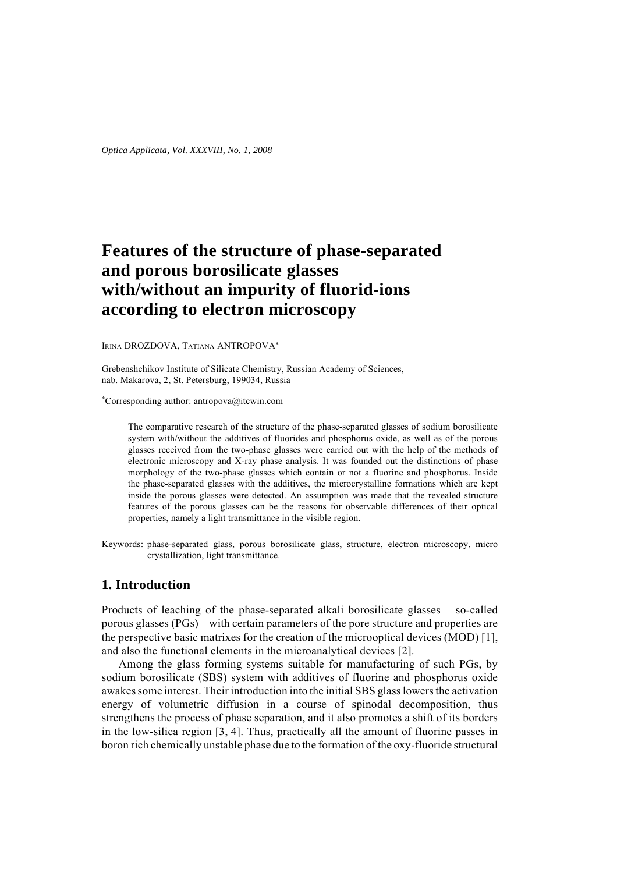# **Features of the structure of phase-separated and porous borosilicate glasses with/without an impurity of fluorid-ions according to electron microscopy**

IRINA DROZDOVA, TATIANA ANTROPOVA\*

Grebenshchikov Institute of Silicate Chemistry, Russian Academy of Sciences, nab. Makarova, 2, St. Petersburg, 199034, Russia

\*Corresponding author: antropova@itcwin.com

The comparative research of the structure of the phase-separated glasses of sodium borosilicate system with/without the additives of fluorides and phosphorus oxide, as well as of the porous glasses received from the two-phase glasses were carried out with the help of the methods of electronic microscopy and X-ray phase analysis. It was founded out the distinctions of phase morphology of the two-phase glasses which contain or not a fluorine and phosphorus. Inside the phase-separated glasses with the additives, the microcrystalline formations which are kept inside the porous glasses were detected. An assumption was made that the revealed structure features of the porous glasses can be the reasons for observable differences of their optical properties, namely a light transmittance in the visible region.

Keywords: phase-separated glass, porous borosilicate glass, structure, electron microscopy, micro crystallization, light transmittance.

## **1. Introduction**

Products of leaching of the phase-separated alkali borosilicate glasses – so-called porous glasses (PGs) – with certain parameters of the pore structure and properties are the perspective basic matrixes for the creation of the microoptical devices (MOD) [1], and also the functional elements in the microanalytical devices [2].

Among the glass forming systems suitable for manufacturing of such PGs, by sodium borosilicate (SBS) system with additives of fluorine and phosphorus oxide awakes some interest. Their introduction into the initial SBS glass lowers the activation energy of volumetric diffusion in a course of spinodal decomposition, thus strengthens the process of phase separation, and it also promotes a shift of its borders in the low-silica region [3, 4]. Thus, practically all the amount of fluorine passes in boron rich chemically unstable phase due to the formation of the oxy-fluoride structural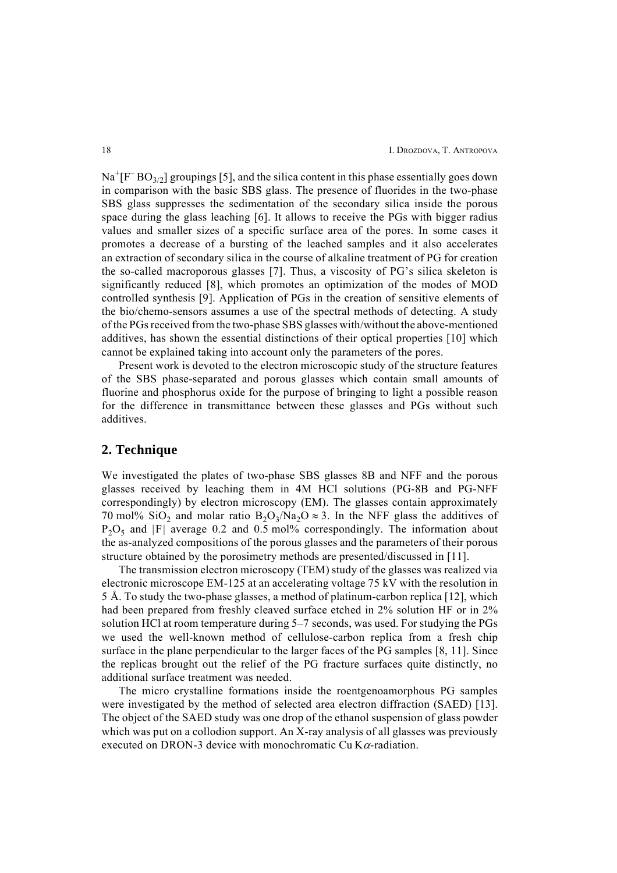$\text{Na}^+\text{[F}^-\text{BO}_{3/2}\text{]}$  groupings [5], and the silica content in this phase essentially goes down in comparison with the basic SBS glass. The presence of fluorides in the two-phase SBS glass suppresses the sedimentation of the secondary silica inside the porous space during the glass leaching [6]. It allows to receive the PGs with bigger radius values and smaller sizes of a specific surface area of the pores. In some cases it promotes a decrease of a bursting of the leached samples and it also accelerates an extraction of secondary silica in the course of alkaline treatment of PG for creation the so-called macroporous glasses [7]. Thus, a viscosity of PG's silica skeleton is significantly reduced [8], which promotes an optimization of the modes of MOD controlled synthesis [9]. Application of PGs in the creation of sensitive elements of the bio/chemo-sensors assumes a use of the spectral methods of detecting. A study of the PGs received from the two-phase SBS glasses with/without the above-mentioned additives, has shown the essential distinctions of their optical properties [10] which cannot be explained taking into account only the parameters of the pores.

Present work is devoted to the electron microscopic study of the structure features of the SBS phase-separated and porous glasses which contain small amounts of fluorine and phosphorus oxide for the purpose of bringing to light a possible reason for the difference in transmittance between these glasses and PGs without such additives.

#### **2. Technique**

We investigated the plates of two-phase SBS glasses 8B and NFF and the porous glasses received by leaching them in 4M HCl solutions (PG-8B and PG-NFF correspondingly) by electron microscopy (EM). The glasses contain approximately 70 mol% SiO<sub>2</sub> and molar ratio B<sub>2</sub>O<sub>3</sub>/Na<sub>2</sub>O  $\approx$  3. In the NFF glass the additives of  $P_2O_5$  and |F| average 0.2 and 0.5 mol% correspondingly. The information about the as-analyzed compositions of the porous glasses and the parameters of their porous structure obtained by the porosimetry methods are presented/discussed in [11].

The transmission electron microscopy (TEM) study of the glasses was realized via electronic microscope EM-125 at an accelerating voltage 75 kV with the resolution in 5 Å. To study the two-phase glasses, a method of platinum-carbon replica [12], which had been prepared from freshly cleaved surface etched in 2% solution HF or in 2% solution HCl at room temperature during 5–7 seconds, was used. For studying the PGs we used the well-known method of cellulose-carbon replica from a fresh chip surface in the plane perpendicular to the larger faces of the PG samples [8, 11]. Since the replicas brought out the relief of the PG fracture surfaces quite distinctly, no additional surface treatment was needed.

The micro crystalline formations inside the roentgenoamorphous PG samples were investigated by the method of selected area electron diffraction (SAED) [13]. The object of the SAED study was one drop of the ethanol suspension of glass powder which was put on a collodion support. An X-ray analysis of all glasses was previously executed on DRON-3 device with monochromatic Cu K $\alpha$ -radiation.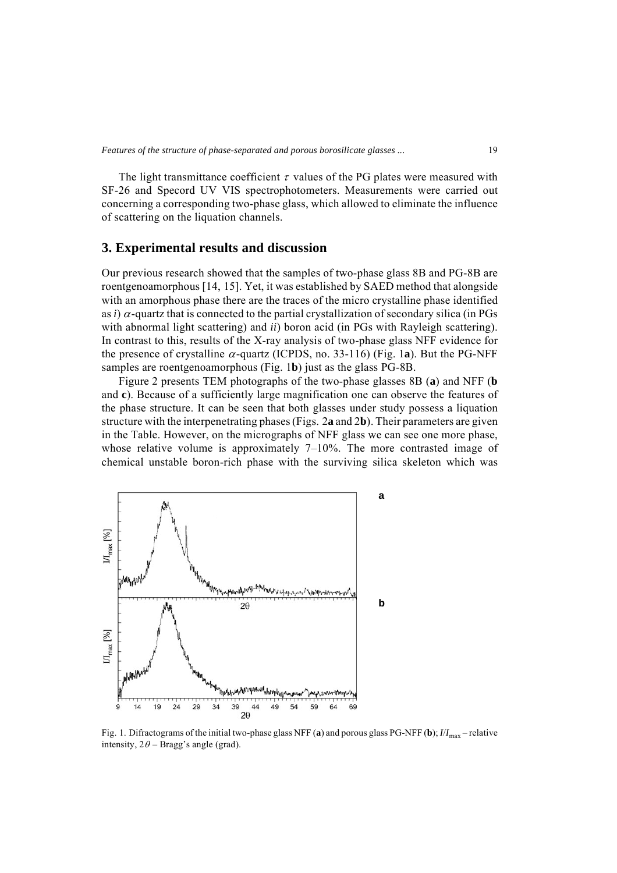The light transmittance coefficient  $\tau$  values of the PG plates were measured with SF-26 and Specord UV VIS spectrophotometers. Measurements were carried out concerning a corresponding two-phase glass, which allowed to eliminate the influence of scattering on the liquation channels.

#### **3. Experimental results and discussion**

Our previous research showed that the samples of two-phase glass 8B and PG-8B are roentgenoamorphous [14, 15]. Yet, it was established by SAED method that alongside with an amorphous phase there are the traces of the micro crystalline phase identified as *i*)  $\alpha$ -quartz that is connected to the partial crystallization of secondary silica (in PGs with abnormal light scattering) and *ii*) boron acid (in PGs with Rayleigh scattering). In contrast to this, results of the X-ray analysis of two-phase glass NFF evidence for the presence of crystalline  $\alpha$ -quartz (ICPDS, no. 33-116) (Fig. 1a). But the PG-NFF samples are roentgenoamorphous (Fig. 1**b**) just as the glass PG-8B.

Figure 2 presents TEM photographs of the two-phase glasses 8B (**a**) and NFF (**b** and **c**). Because of a sufficiently large magnification one can observe the features of the phase structure. It can be seen that both glasses under study possess a liquation structure with the interpenetrating phases (Figs. 2**a** and 2**b**). Their parameters are given in the Table. However, on the micrographs of NFF glass we can see one more phase, whose relative volume is approximately 7–10%. The more contrasted image of chemical unstable boron-rich phase with the surviving silica skeleton which was



Fig. 1. Difractograms of the initial two-phase glass NFF (a) and porous glass PG-NFF (b);  $I/I_{\text{max}}$  – relative intensity,  $2\theta$  – Bragg's angle (grad).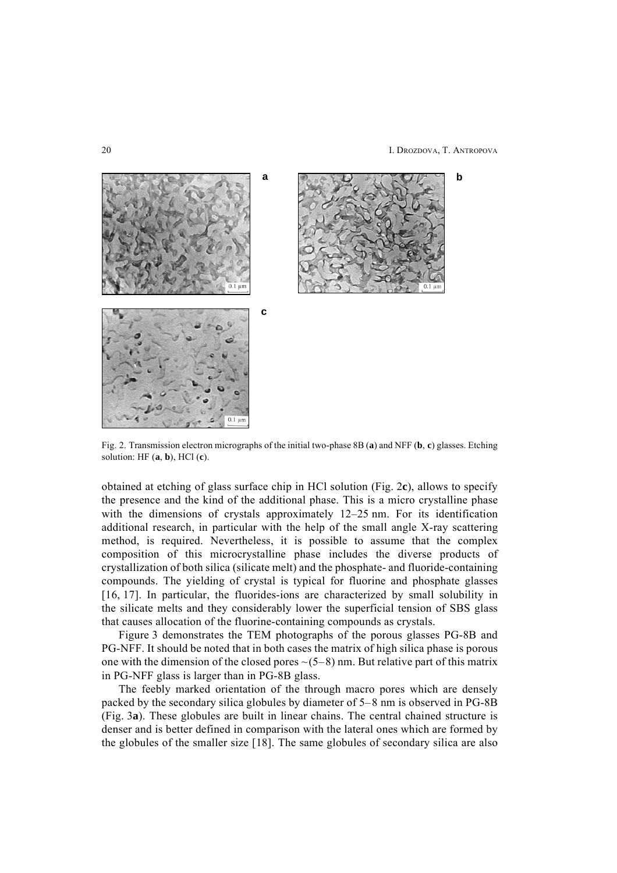20 I. DROZDOVA, T. ANTROPOVA



Fig. 2. Transmission electron micrographs of the initial two-phase 8B (**a**) and NFF (**b**, **c**) glasses. Etching solution: HF (**a**, **b**), HCl (**c**).

obtained at etching of glass surface chip in HCl solution (Fig. 2**c**), allows to specify the presence and the kind of the additional phase. This is a micro crystalline phase with the dimensions of crystals approximately 12–25 nm. For its identification additional research, in particular with the help of the small angle X-ray scattering method, is required. Nevertheless, it is possible to assume that the complex composition of this microcrystalline phase includes the diverse products of crystallization of both silica (silicate melt) and the phosphate- and fluoride-containing compounds. The yielding of crystal is typical for fluorine and phosphate glasses [16, 17]. In particular, the fluorides-ions are characterized by small solubility in the silicate melts and they considerably lower the superficial tension of SBS glass that causes allocation of the fluorine-containing compounds as crystals.

Figure 3 demonstrates the TEM photographs of the porous glasses PG-8B and PG-NFF. It should be noted that in both cases the matrix of high silica phase is porous one with the dimension of the closed pores  $\sim$ (5–8) nm. But relative part of this matrix in PG-NFF glass is larger than in PG-8B glass.

The feebly marked orientation of the through macro pores which are densely packed by the secondary silica globules by diameter of 5–8 nm is observed in PG-8B (Fig. 3**a**). These globules are built in linear chains. The central chained structure is denser and is better defined in comparison with the lateral ones which are formed by the globules of the smaller size [18]. The same globules of secondary silica are also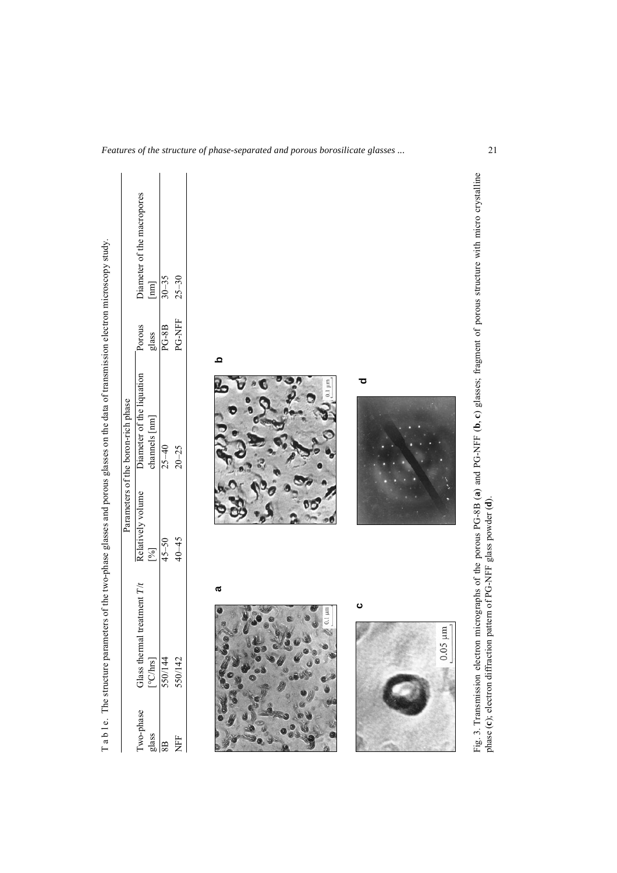|                                               | T a b 1 e. The structure parameters of the two-phase glasses and porous glasses on the data of transmission electron microscopy study. |                          | Parameters of the boron-rich phase         |                                                    |                                                   |  |
|-----------------------------------------------|----------------------------------------------------------------------------------------------------------------------------------------|--------------------------|--------------------------------------------|----------------------------------------------------|---------------------------------------------------|--|
| Two-phase<br>$\frac{\text{glass}}{\text{8B}}$ | treatment $T/t$<br>Glass thermal t<br>$[°C/hrs]$<br>550/144<br>550/142                                                                 | Relatively volume<br>[%] | Diameter of the liquation<br>channels [nm] | Porous<br>glass                                    | Diameter of the macropores<br>$\boxed{\text{mm}}$ |  |
|                                               |                                                                                                                                        | $45 - 50$                | $25 - 40$                                  | $\mathbf{P}\mathbf{G}\text{-}\mathbf{S}\mathbf{B}$ | $30 - 35$                                         |  |
| NFF                                           |                                                                                                                                        | $40 - 45$                | $20 - 25$                                  | PG-NFF                                             | $25 - 30$                                         |  |
|                                               | a<br>$0.1 \mu m$                                                                                                                       |                          | $0.1 \mu m$                                | Q                                                  |                                                   |  |
|                                               | ပ<br>$0.05 \; \mathrm{\upmu m}$                                                                                                        |                          | ਠ                                          |                                                    |                                                   |  |
|                                               |                                                                                                                                        | $\frac{1}{2}$<br>ì       |                                            |                                                    |                                                   |  |

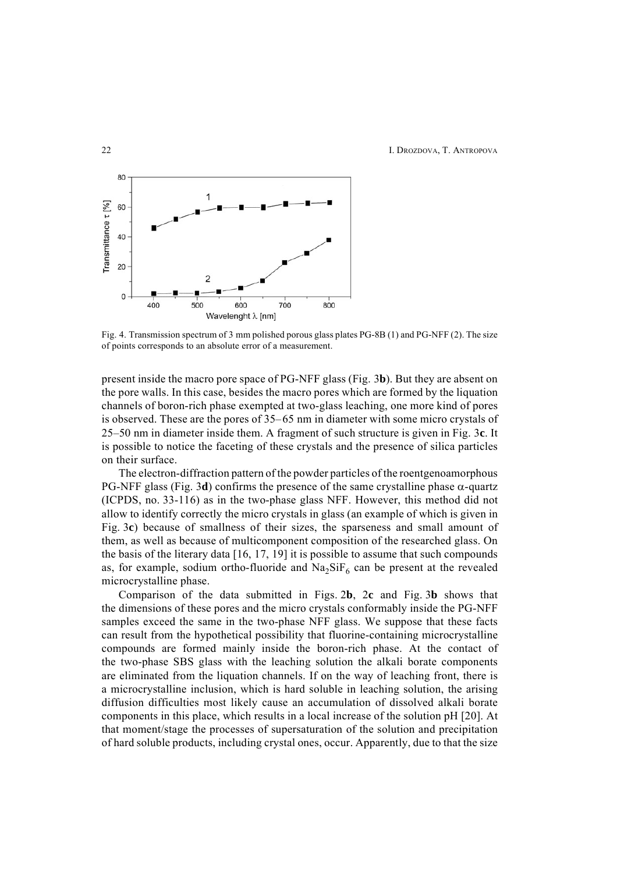

Fig. 4. Transmission spectrum of 3 mm polished porous glass plates PG-8B (1) and PG-NFF (2). The size of points corresponds to an absolute error of a measurement.

present inside the macro pore space of PG-NFF glass (Fig. 3**b**). But they are absent on the pore walls. In this case, besides the macro pores which are formed by the liquation channels of boron-rich phase exempted at two-glass leaching, one more kind of pores is observed. These are the pores of 35–65 nm in diameter with some micro crystals of 25–50 nm in diameter inside them. A fragment of such structure is given in Fig. 3**c**. It is possible to notice the faceting of these crystals and the presence of silica particles on their surface.

The electron-diffraction pattern of the powder particles of the roentgenoamorphous PG-NFF glass (Fig. 3d) confirms the presence of the same crystalline phase  $\alpha$ -quartz (ICPDS, no. 33-116) as in the two-phase glass NFF. However, this method did not allow to identify correctly the micro crystals in glass (an example of which is given in Fig. 3**c**) because of smallness of their sizes, the sparseness and small amount of them, as well as because of multicomponent composition of the researched glass. On the basis of the literary data [16, 17, 19] it is possible to assume that such compounds as, for example, sodium ortho-fluoride and  $Na<sub>2</sub>SiF<sub>6</sub>$  can be present at the revealed microcrystalline phase.

Comparison of the data submitted in Figs. 2**b**, 2**c** and Fig. 3**b** shows that the dimensions of these pores and the micro crystals conformably inside the PG-NFF samples exceed the same in the two-phase NFF glass. We suppose that these facts can result from the hypothetical possibility that fluorine-containing microcrystalline compounds are formed mainly inside the boron-rich phase. At the contact of the two-phase SBS glass with the leaching solution the alkali borate components are eliminated from the liquation channels. If on the way of leaching front, there is a microcrystalline inclusion, which is hard soluble in leaching solution, the arising diffusion difficulties most likely cause an accumulation of dissolved alkali borate components in this place, which results in a local increase of the solution pH [20]. At that moment/stage the processes of supersaturation of the solution and precipitation of hard soluble products, including crystal ones, occur. Apparently, due to that the size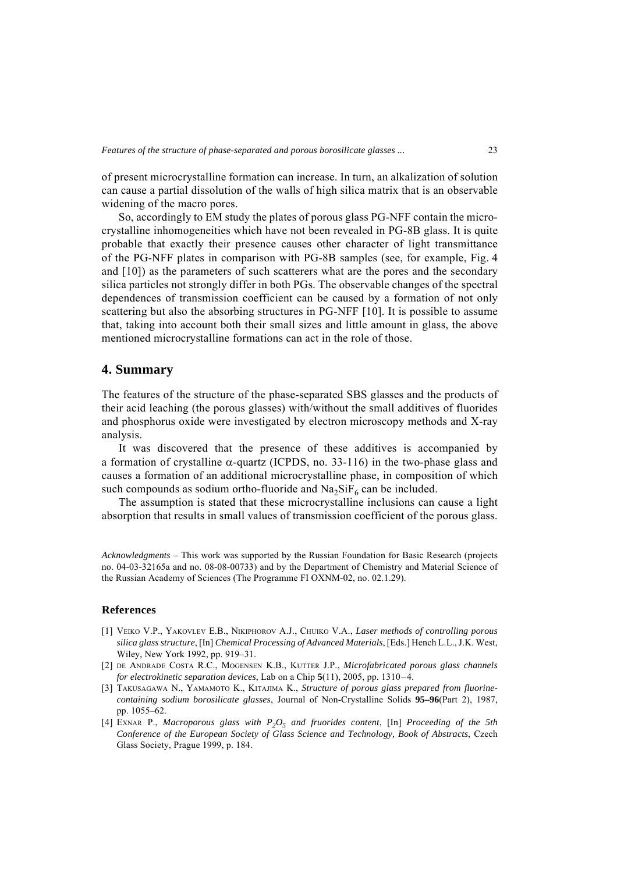of present microcrystalline formation can increase. In turn, an alkalization of solution can cause a partial dissolution of the walls of high silica matrix that is an observable widening of the macro pores.

So, accordingly to EM study the plates of porous glass PG-NFF contain the microcrystalline inhomogeneities which have not been revealed in PG-8B glass. It is quite probable that exactly their presence causes other character of light transmittance of the PG-NFF plates in comparison with PG-8B samples (see, for example, Fig. 4 and [10]) as the parameters of such scatterers what are the pores and the secondary silica particles not strongly differ in both PGs. The observable changes of the spectral dependences of transmission coefficient can be caused by a formation of not only scattering but also the absorbing structures in PG-NFF [10]. It is possible to assume that, taking into account both their small sizes and little amount in glass, the above mentioned microcrystalline formations can act in the role of those.

### **4. Summary**

The features of the structure of the phase-separated SBS glasses and the products of their acid leaching (the porous glasses) with/without the small additives of fluorides and phosphorus oxide were investigated by electron microscopy methods and X-ray analysis.

It was discovered that the presence of these additives is accompanied by a formation of crystalline  $\alpha$ -quartz (ICPDS, no. 33-116) in the two-phase glass and causes a formation of an additional microcrystalline phase, in composition of which such compounds as sodium ortho-fluoride and  $Na<sub>2</sub>SiF<sub>6</sub>$  can be included.

The assumption is stated that these microcrystalline inclusions can cause a light absorption that results in small values of transmission coefficient of the porous glass.

*Acknowledgments* – This work was supported by the Russian Foundation for Basic Research (projects no. 04-03-32165a and no. 08-08-00733) and by the Department of Chemistry and Material Science of the Russian Academy of Sciences (The Programme FI OXNM-02, no. 02.1.29).

#### **References**

- [1] VEIKO V.P., YAKOVLEV E.B., NIKIPHOROV A.J., CHUIKO V.A., *Laser methods of controlling porous silica glass structure*, [In] *Chemical Processing of Advanced Materials*, [Eds.] Hench L.L., J.K. West, Wiley, New York 1992, pp. 919–31.
- [2] DE ANDRADE COSTA R.C., MOGENSEN K.B., KUTTER J.P., *Microfabricated porous glass channels for electrokinetic separation devices*, Lab on a Chip **5**(11), 2005, pp. 1310–4.
- [3] TAKUSAGAWA N., YAMAMOTO K., KITAJIMA K., *Structure of porous glass prepared from fluorinecontaining sodium borosilicate glasses*, Journal of Non-Crystalline Solids **95–96**(Part 2), 1987, pp. 1055–62.
- [4] EXNAR P., *Macroporous glass with P2O5 and fruorides content*, [In] *Proceeding of the 5th Conference of the European Society of Glass Science and Technology, Book of Abstracts*, Czech Glass Society, Prague 1999, p. 184.